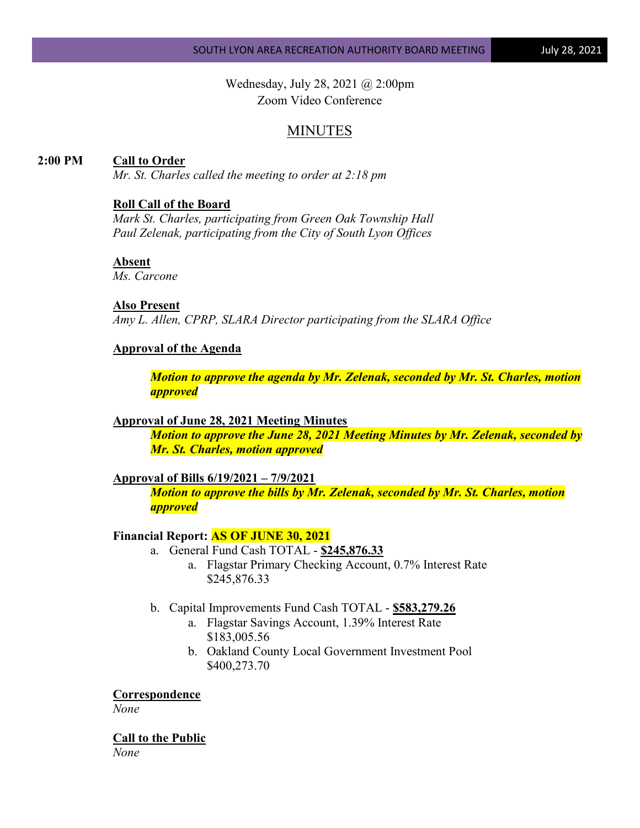Wednesday, July 28, 2021 @ 2:00pm Zoom Video Conference

# MINUTES

## **2:00 PM Call to Order**

*Mr. St. Charles called the meeting to order at 2:18 pm*

#### **Roll Call of the Board**

*Mark St. Charles, participating from Green Oak Township Hall Paul Zelenak, participating from the City of South Lyon Offices*

## **Absent**

*Ms. Carcone*

### **Also Present**

*Amy L. Allen, CPRP, SLARA Director participating from the SLARA Office*

#### **Approval of the Agenda**

*Motion to approve the agenda by Mr. Zelenak, seconded by Mr. St. Charles, motion approved*

#### **Approval of June 28, 2021 Meeting Minutes**

*Motion to approve the June 28, 2021 Meeting Minutes by Mr. Zelenak, seconded by Mr. St. Charles, motion approved*

#### **Approval of Bills 6/19/2021 – 7/9/2021**

*Motion to approve the bills by Mr. Zelenak, seconded by Mr. St. Charles, motion approved*

#### **Financial Report: AS OF JUNE 30, 2021**

- a. General Fund Cash TOTAL **\$245,876.33**
	- a. Flagstar Primary Checking Account, 0.7% Interest Rate \$245,876.33
- b. Capital Improvements Fund Cash TOTAL **\$583,279.26**
	- a. Flagstar Savings Account, 1.39% Interest Rate \$183,005.56
	- b. Oakland County Local Government Investment Pool \$400,273.70

**Correspondence**

*None*

**Call to the Public** *None*